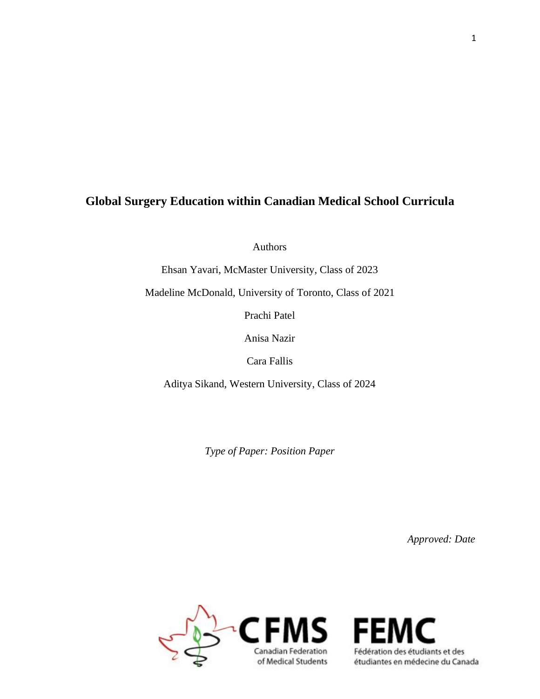# **Global Surgery Education within Canadian Medical School Curricula**

Authors

Ehsan Yavari, McMaster University, Class of 2023

Madeline McDonald, University of Toronto, Class of 2021

Prachi Patel

Anisa Nazir

Cara Fallis

Aditya Sikand, Western University, Class of 2024

*Type of Paper: Position Paper*

*Approved: Date*



Fédération des étudiants et des<br>étudiantes en médecine du Can étudiantes en médecine du Canada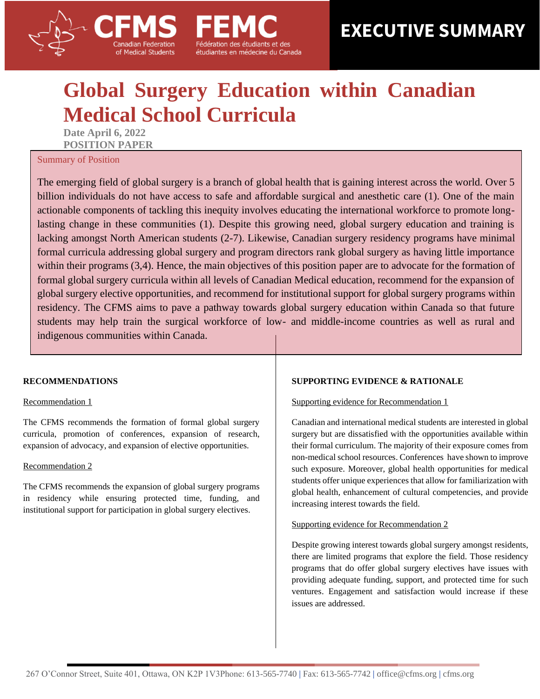# 2 **EXECUTIVE SUMMARY**

# **Global Surgery Education within Canadian Medical School Curricula**

étudiantes en médecine du Canada

**Date April 6, 2022 POSITION PAPER** 

of Medical Students

#### Summary of Position

The emerging field of global surgery is a branch of global health that is gaining interest across the world. Over 5 billion individuals do not have access to safe and affordable surgical and anesthetic care (1). One of the main actionable components of tackling this inequity involves educating the international workforce to promote longlasting change in these communities (1). Despite this growing need, global surgery education and training is lacking amongst North American students (2-7). Likewise, Canadian surgery residency programs have minimal formal curricula addressing global surgery and program directors rank global surgery as having little importance within their programs (3,4). Hence, the main objectives of this position paper are to advocate for the formation of formal global surgery curricula within all levels of Canadian Medical education, recommend for the expansion of global surgery elective opportunities, and recommend for institutional support for global surgery programs within residency. The CFMS aims to pave a pathway towards global surgery education within Canada so that future students may help train the surgical workforce of low- and middle-income countries as well as rural and indigenous communities within Canada.

#### **RECOMMENDATIONS**

#### Recommendation 1

The CFMS recommends the formation of formal global surgery curricula, promotion of conferences, expansion of research, expansion of advocacy, and expansion of elective opportunities.

#### Recommendation 2

The CFMS recommends the expansion of global surgery programs in residency while ensuring protected time, funding, and institutional support for participation in global surgery electives.

#### **SUPPORTING EVIDENCE & RATIONALE**

#### Supporting evidence for Recommendation 1

Canadian and international medical students are interested in global surgery but are dissatisfied with the opportunities available within their formal curriculum. The majority of their exposure comes from non-medical school resources. Conferences have shown to improve such exposure. Moreover, global health opportunities for medical students offer unique experiences that allow for familiarization with global health, enhancement of cultural competencies, and provide increasing interest towards the field.

#### Supporting evidence for Recommendation 2

Despite growing interest towards global surgery amongst residents, there are limited programs that explore the field. Those residency programs that do offer global surgery electives have issues with providing adequate funding, support, and protected time for such ventures. Engagement and satisfaction would increase if these issues are addressed.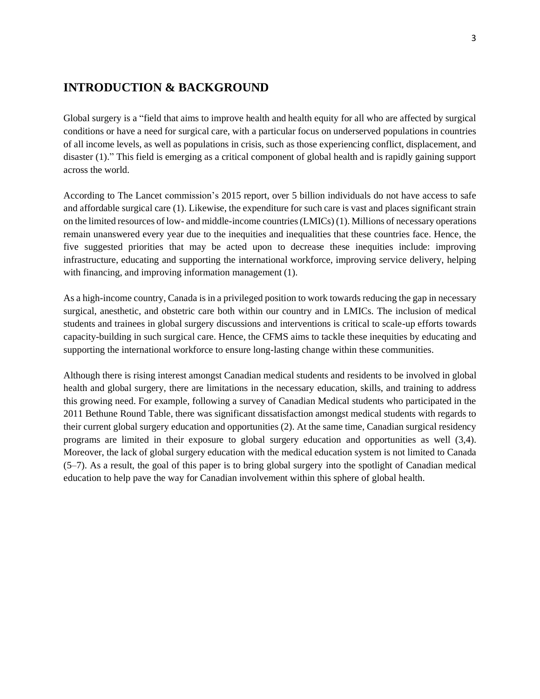## **INTRODUCTION & BACKGROUND**

Global surgery is a "field that aims to improve health and health equity for all who are affected by surgical conditions or have a need for surgical care, with a particular focus on underserved populations in countries of all income levels, as well as populations in crisis, such as those experiencing conflict, displacement, and disaster (1)." This field is emerging as a critical component of global health and is rapidly gaining support across the world.

According to The Lancet commission's 2015 report, over 5 billion individuals do not have access to safe and affordable surgical care (1). Likewise, the expenditure for such care is vast and places significant strain on the limited resources of low- and middle-income countries (LMICs) (1). Millions of necessary operations remain unanswered every year due to the inequities and inequalities that these countries face. Hence, the five suggested priorities that may be acted upon to decrease these inequities include: improving infrastructure, educating and supporting the international workforce, improving service delivery, helping with financing, and improving information management (1).

As a high-income country, Canada is in a privileged position to work towards reducing the gap in necessary surgical, anesthetic, and obstetric care both within our country and in LMICs. The inclusion of medical students and trainees in global surgery discussions and interventions is critical to scale-up efforts towards capacity-building in such surgical care. Hence, the CFMS aims to tackle these inequities by educating and supporting the international workforce to ensure long-lasting change within these communities.

Although there is rising interest amongst Canadian medical students and residents to be involved in global health and global surgery, there are limitations in the necessary education, skills, and training to address this growing need. For example, following a survey of Canadian Medical students who participated in the 2011 Bethune Round Table, there was significant dissatisfaction amongst medical students with regards to their current global surgery education and opportunities (2). At the same time, Canadian surgical residency programs are limited in their exposure to global surgery education and opportunities as well (3,4). Moreover, the lack of global surgery education with the medical education system is not limited to Canada (5–7). As a result, the goal of this paper is to bring global surgery into the spotlight of Canadian medical education to help pave the way for Canadian involvement within this sphere of global health.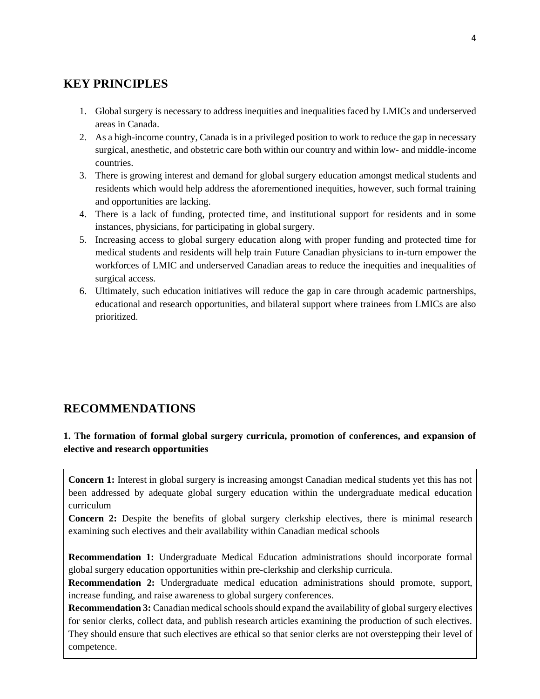# **KEY PRINCIPLES**

- 1. Global surgery is necessary to address inequities and inequalities faced by LMICs and underserved areas in Canada.
- 2. As a high-income country, Canada is in a privileged position to work to reduce the gap in necessary surgical, anesthetic, and obstetric care both within our country and within low- and middle-income countries.
- 3. There is growing interest and demand for global surgery education amongst medical students and residents which would help address the aforementioned inequities, however, such formal training and opportunities are lacking.
- 4. There is a lack of funding, protected time, and institutional support for residents and in some instances, physicians, for participating in global surgery.
- 5. Increasing access to global surgery education along with proper funding and protected time for medical students and residents will help train Future Canadian physicians to in-turn empower the workforces of LMIC and underserved Canadian areas to reduce the inequities and inequalities of surgical access.
- 6. Ultimately, such education initiatives will reduce the gap in care through academic partnerships, educational and research opportunities, and bilateral support where trainees from LMICs are also prioritized.

# **RECOMMENDATIONS**

## **1. The formation of formal global surgery curricula, promotion of conferences, and expansion of elective and research opportunities**

**Concern 1:** Interest in global surgery is increasing amongst Canadian medical students yet this has not been addressed by adequate global surgery education within the undergraduate medical education curriculum

**Concern 2:** Despite the benefits of global surgery clerkship electives, there is minimal research examining such electives and their availability within Canadian medical schools

**Recommendation 1:** Undergraduate Medical Education administrations should incorporate formal global surgery education opportunities within pre-clerkship and clerkship curricula.

**Recommendation 2:** Undergraduate medical education administrations should promote, support, increase funding, and raise awareness to global surgery conferences.

**Recommendation 3:** Canadian medical schools should expand the availability of global surgery electives for senior clerks, collect data, and publish research articles examining the production of such electives. They should ensure that such electives are ethical so that senior clerks are not overstepping their level of competence.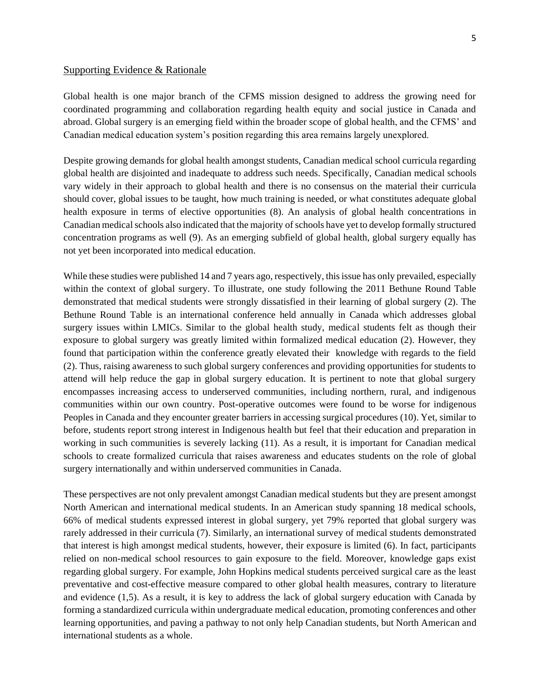#### Supporting Evidence & Rationale

Global health is one major branch of the CFMS mission designed to address the growing need for coordinated programming and collaboration regarding health equity and social justice in Canada and abroad. Global surgery is an emerging field within the broader scope of global health, and the CFMS' and Canadian medical education system's position regarding this area remains largely unexplored.

Despite growing demands for global health amongst students, Canadian medical school curricula regarding global health are disjointed and inadequate to address such needs. Specifically, Canadian medical schools vary widely in their approach to global health and there is no consensus on the material their curricula should cover, global issues to be taught, how much training is needed, or what constitutes adequate global health exposure in terms of elective opportunities (8). An analysis of global health concentrations in Canadian medical schools also indicated that the majority of schools have yet to develop formally structured concentration programs as well (9). As an emerging subfield of global health, global surgery equally has not yet been incorporated into medical education.

While these studies were published 14 and 7 years ago, respectively, this issue has only prevailed, especially within the context of global surgery. To illustrate, one study following the 2011 Bethune Round Table demonstrated that medical students were strongly dissatisfied in their learning of global surgery (2). The Bethune Round Table is an international conference held annually in Canada which addresses global surgery issues within LMICs. Similar to the global health study, medical students felt as though their exposure to global surgery was greatly limited within formalized medical education (2). However, they found that participation within the conference greatly elevated their knowledge with regards to the field (2). Thus, raising awareness to such global surgery conferences and providing opportunities for students to attend will help reduce the gap in global surgery education. It is pertinent to note that global surgery encompasses increasing access to underserved communities, including northern, rural, and indigenous communities within our own country. Post-operative outcomes were found to be worse for indigenous Peoples in Canada and they encounter greater barriers in accessing surgical procedures (10). Yet, similar to before, students report strong interest in Indigenous health but feel that their education and preparation in working in such communities is severely lacking (11). As a result, it is important for Canadian medical schools to create formalized curricula that raises awareness and educates students on the role of global surgery internationally and within underserved communities in Canada.

These perspectives are not only prevalent amongst Canadian medical students but they are present amongst North American and international medical students. In an American study spanning 18 medical schools, 66% of medical students expressed interest in global surgery, yet 79% reported that global surgery was rarely addressed in their curricula (7). Similarly, an international survey of medical students demonstrated that interest is high amongst medical students, however, their exposure is limited (6). In fact, participants relied on non-medical school resources to gain exposure to the field. Moreover, knowledge gaps exist regarding global surgery. For example, John Hopkins medical students perceived surgical care as the least preventative and cost-effective measure compared to other global health measures, contrary to literature and evidence (1,5). As a result, it is key to address the lack of global surgery education with Canada by forming a standardized curricula within undergraduate medical education, promoting conferences and other learning opportunities, and paving a pathway to not only help Canadian students, but North American and international students as a whole.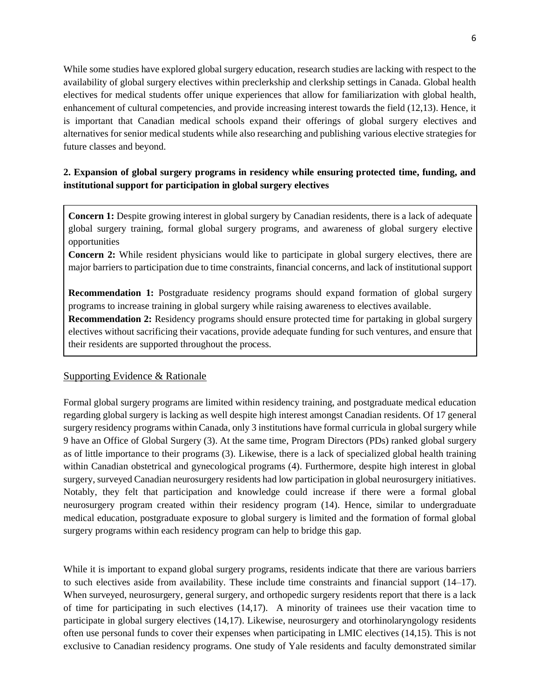While some studies have explored global surgery education, research studies are lacking with respect to the availability of global surgery electives within preclerkship and clerkship settings in Canada. Global health electives for medical students offer unique experiences that allow for familiarization with global health, enhancement of cultural competencies, and provide increasing interest towards the field (12,13). Hence, it is important that Canadian medical schools expand their offerings of global surgery electives and alternatives for senior medical students while also researching and publishing various elective strategies for future classes and beyond.

## **2. Expansion of global surgery programs in residency while ensuring protected time, funding, and institutional support for participation in global surgery electives**

**Concern 1:** Despite growing interest in global surgery by Canadian residents, there is a lack of adequate global surgery training, formal global surgery programs, and awareness of global surgery elective opportunities

**Concern 2:** While resident physicians would like to participate in global surgery electives, there are major barriers to participation due to time constraints, financial concerns, and lack of institutional support

**Recommendation 1:** Postgraduate residency programs should expand formation of global surgery programs to increase training in global surgery while raising awareness to electives available.

**Recommendation 2:** Residency programs should ensure protected time for partaking in global surgery electives without sacrificing their vacations, provide adequate funding for such ventures, and ensure that their residents are supported throughout the process.

## Supporting Evidence & Rationale

Formal global surgery programs are limited within residency training, and postgraduate medical education regarding global surgery is lacking as well despite high interest amongst Canadian residents. Of 17 general surgery residency programs within Canada, only 3 institutions have formal curricula in global surgery while 9 have an Office of Global Surgery (3). At the same time, Program Directors (PDs) ranked global surgery as of little importance to their programs (3). Likewise, there is a lack of specialized global health training within Canadian obstetrical and gynecological programs (4). Furthermore, despite high interest in global surgery, surveyed Canadian neurosurgery residents had low participation in global neurosurgery initiatives. Notably, they felt that participation and knowledge could increase if there were a formal global neurosurgery program created within their residency program (14). Hence, similar to undergraduate medical education, postgraduate exposure to global surgery is limited and the formation of formal global surgery programs within each residency program can help to bridge this gap.

While it is important to expand global surgery programs, residents indicate that there are various barriers to such electives aside from availability. These include time constraints and financial support (14–17). When surveyed, neurosurgery, general surgery, and orthopedic surgery residents report that there is a lack of time for participating in such electives (14,17). A minority of trainees use their vacation time to participate in global surgery electives (14,17). Likewise, neurosurgery and otorhinolaryngology residents often use personal funds to cover their expenses when participating in LMIC electives (14,15). This is not exclusive to Canadian residency programs. One study of Yale residents and faculty demonstrated similar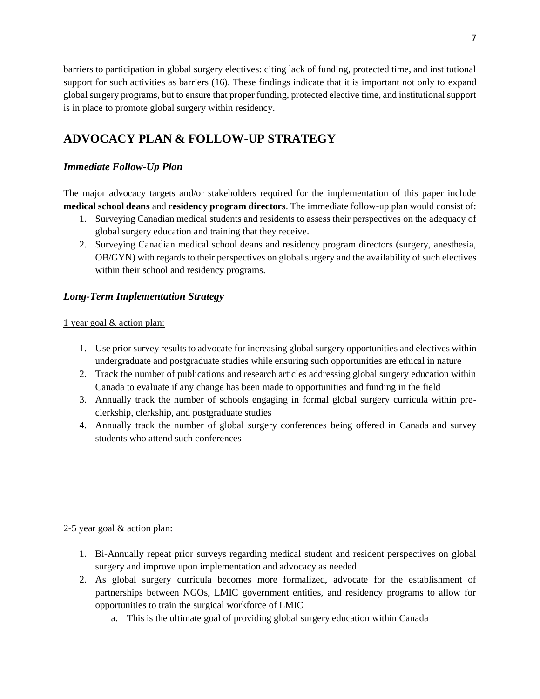barriers to participation in global surgery electives: citing lack of funding, protected time, and institutional support for such activities as barriers (16). These findings indicate that it is important not only to expand global surgery programs, but to ensure that proper funding, protected elective time, and institutional support is in place to promote global surgery within residency.

# **ADVOCACY PLAN & FOLLOW-UP STRATEGY**

## *Immediate Follow-Up Plan*

The major advocacy targets and/or stakeholders required for the implementation of this paper include **medical school deans** and **residency program directors**. The immediate follow-up plan would consist of:

- 1. Surveying Canadian medical students and residents to assess their perspectives on the adequacy of global surgery education and training that they receive.
- 2. Surveying Canadian medical school deans and residency program directors (surgery, anesthesia, OB/GYN) with regards to their perspectives on global surgery and the availability of such electives within their school and residency programs.

## *Long-Term Implementation Strategy*

#### 1 year goal & action plan:

- 1. Use prior survey results to advocate for increasing global surgery opportunities and electives within undergraduate and postgraduate studies while ensuring such opportunities are ethical in nature
- 2. Track the number of publications and research articles addressing global surgery education within Canada to evaluate if any change has been made to opportunities and funding in the field
- 3. Annually track the number of schools engaging in formal global surgery curricula within preclerkship, clerkship, and postgraduate studies
- 4. Annually track the number of global surgery conferences being offered in Canada and survey students who attend such conferences

#### 2-5 year goal & action plan:

- 1. Bi-Annually repeat prior surveys regarding medical student and resident perspectives on global surgery and improve upon implementation and advocacy as needed
- 2. As global surgery curricula becomes more formalized, advocate for the establishment of partnerships between NGOs, LMIC government entities, and residency programs to allow for opportunities to train the surgical workforce of LMIC
	- a. This is the ultimate goal of providing global surgery education within Canada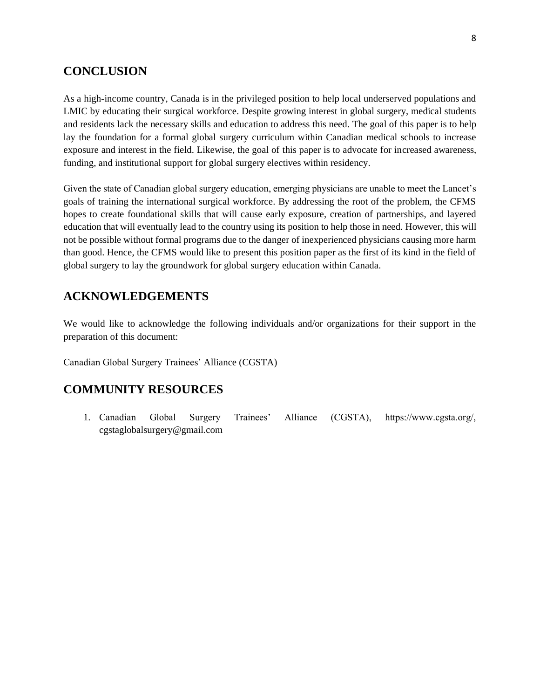## **CONCLUSION**

As a high-income country, Canada is in the privileged position to help local underserved populations and LMIC by educating their surgical workforce. Despite growing interest in global surgery, medical students and residents lack the necessary skills and education to address this need. The goal of this paper is to help lay the foundation for a formal global surgery curriculum within Canadian medical schools to increase exposure and interest in the field. Likewise, the goal of this paper is to advocate for increased awareness, funding, and institutional support for global surgery electives within residency.

Given the state of Canadian global surgery education, emerging physicians are unable to meet the Lancet's goals of training the international surgical workforce. By addressing the root of the problem, the CFMS hopes to create foundational skills that will cause early exposure, creation of partnerships, and layered education that will eventually lead to the country using its position to help those in need. However, this will not be possible without formal programs due to the danger of inexperienced physicians causing more harm than good. Hence, the CFMS would like to present this position paper as the first of its kind in the field of global surgery to lay the groundwork for global surgery education within Canada.

# **ACKNOWLEDGEMENTS**

We would like to acknowledge the following individuals and/or organizations for their support in the preparation of this document:

Canadian Global Surgery Trainees' Alliance (CGSTA)

# **COMMUNITY RESOURCES**

1. Canadian Global Surgery Trainees' Alliance (CGSTA), https://www.cgsta.org/, cgstaglobalsurgery@gmail.com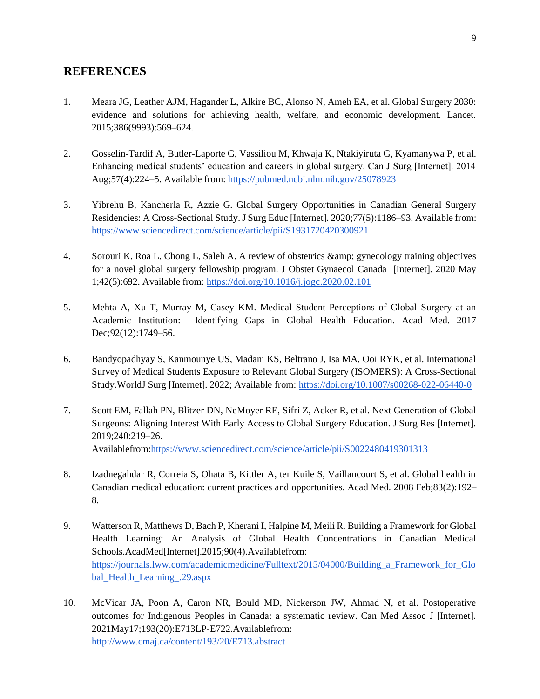## **REFERENCES**

- 1. Meara JG, Leather AJM, Hagander L, Alkire BC, Alonso N, Ameh EA, et al. Global Surgery 2030: evidence and solutions for achieving health, welfare, and economic development. Lancet. 2015;386(9993):569–624.
- 2. Gosselin-Tardif A, Butler-Laporte G, Vassiliou M, Khwaja K, Ntakiyiruta G, Kyamanywa P, et al. Enhancing medical students' education and careers in global surgery. Can J Surg [Internet]. 2014 Aug;57(4):224–5. Available from[: https://pubmed.ncbi.nlm.nih.gov/25078923](https://pubmed.ncbi.nlm.nih.gov/25078923)
- 3. Yibrehu B, Kancherla R, Azzie G. Global Surgery Opportunities in Canadian General Surgery Residencies: A Cross-Sectional Study. J Surg Educ [Internet]. 2020;77(5):1186–93. Available from: <https://www.sciencedirect.com/science/article/pii/S1931720420300921>
- 4. Sorouri K, Roa L, Chong L, Saleh A. A review of obstetrics & gynecology training objectives for a novel global surgery fellowship program. J Obstet Gynaecol Canada [Internet]. 2020 May 1;42(5):692. Available from:<https://doi.org/10.1016/j.jogc.2020.02.101>
- 5. Mehta A, Xu T, Murray M, Casey KM. Medical Student Perceptions of Global Surgery at an Academic Institution: Identifying Gaps in Global Health Education. Acad Med. 2017 Dec; 92(12): 1749–56.
- 6. Bandyopadhyay S, Kanmounye US, Madani KS, Beltrano J, Isa MA, Ooi RYK, et al. International Survey of Medical Students Exposure to Relevant Global Surgery (ISOMERS): A Cross-Sectional Study.WorldJ Surg [Internet]. 2022; Available from[: https://doi.org/10.1007/s00268-022-06440-0](https://doi.org/10.1007/s00268-022-06440-0)
- 7. Scott EM, Fallah PN, Blitzer DN, NeMoyer RE, Sifri Z, Acker R, et al. Next Generation of Global Surgeons: Aligning Interest With Early Access to Global Surgery Education. J Surg Res [Internet]. 2019;240:219–26. Availablefrom[:https://www.sciencedirect.com/science/article/pii/S0022480419301313](https://www.sciencedirect.com/science/article/pii/S0022480419301313)
- 8. Izadnegahdar R, Correia S, Ohata B, Kittler A, ter Kuile S, Vaillancourt S, et al. Global health in Canadian medical education: current practices and opportunities. Acad Med. 2008 Feb;83(2):192– 8.
- 9. Watterson R, Matthews D, Bach P, Kherani I, Halpine M, Meili R. Building a Framework for Global Health Learning: An Analysis of Global Health Concentrations in Canadian Medical Schools.AcadMed[Internet].2015;90(4).Availablefrom: [https://journals.lww.com/academicmedicine/Fulltext/2015/04000/Building\\_a\\_Framework\\_for\\_Glo](https://journals.lww.com/academicmedicine/Fulltext/2015/04000/Building_a_Framework_for_Global_Health_Learning_.29.aspx) [bal\\_Health\\_Learning\\_.29.aspx](https://journals.lww.com/academicmedicine/Fulltext/2015/04000/Building_a_Framework_for_Global_Health_Learning_.29.aspx)
- 10. McVicar JA, Poon A, Caron NR, Bould MD, Nickerson JW, Ahmad N, et al. Postoperative outcomes for Indigenous Peoples in Canada: a systematic review. Can Med Assoc J [Internet]. 2021May17;193(20):E713LP-E722.Availablefrom: <http://www.cmaj.ca/content/193/20/E713.abstract>